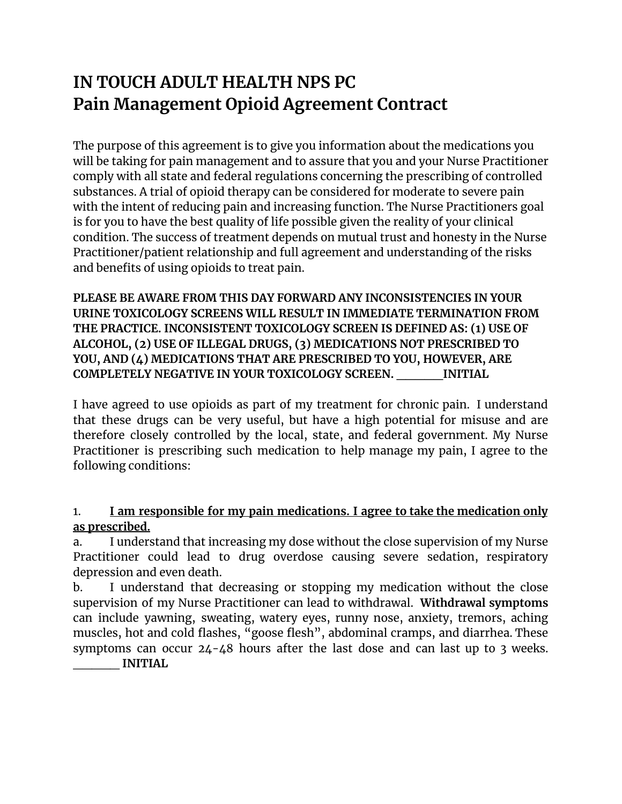## **IN TOUCH ADULT HEALTH NPS PC Pain Management Opioid Agreement Contract**

The purpose of this agreement is to give you information about the medications you will be taking for pain management and to assure that you and your Nurse Practitioner comply with all state and federal regulations concerning the prescribing of controlled substances. A trial of opioid therapy can be considered for moderate to severe pain with the intent of reducing pain and increasing function. The Nurse Practitioners goal is for you to have the best quality of life possible given the reality of your clinical condition. The success of treatment depends on mutual trust and honesty in the Nurse Practitioner/patient relationship and full agreement and understanding of the risks and benefits of using opioids to treat pain.

**PLEASE BE AWARE FROM THIS DAY FORWARD ANY INCONSISTENCIES IN YOUR URINE TOXICOLOGY SCREENS WILL RESULT IN IMMEDIATE TERMINATION FROM THE PRACTICE. INCONSISTENT TOXICOLOGY SCREEN IS DEFINED AS: (1) USE OF ALCOHOL, (2) USE OF ILLEGAL DRUGS, (3) MEDICATIONS NOT PRESCRIBED TO YOU, AND (4) MEDICATIONS THAT ARE PRESCRIBED TO YOU, HOWEVER, ARE COMPLETELY NEGATIVE IN YOUR TOXICOLOGY SCREEN. \_\_\_\_\_INITIAL**

I have agreed to use opioids as part of my treatment for chronic pain. I understand that these drugs can be very useful, but have a high potential for misuse and are therefore closely controlled by the local, state, and federal government. My Nurse Practitioner is prescribing such medication to help manage my pain, I agree to the following conditions:

## 1. **I am responsible for my pain medications. I agree to take the medication only as prescribed.**

a. I understand that increasing my dose without the close supervision of my Nurse Practitioner could lead to drug overdose causing severe sedation, respiratory depression and even death.

b. I understand that decreasing or stopping my medication without the close supervision of my Nurse Practitioner can lead to withdrawal. **Withdrawal symptoms** can include yawning, sweating, watery eyes, runny nose, anxiety, tremors, aching muscles, hot and cold flashes, "goose flesh", abdominal cramps, and diarrhea. These symptoms can occur 24-48 hours after the last dose and can last up to 3 weeks.

\_\_\_\_\_ **INITIAL**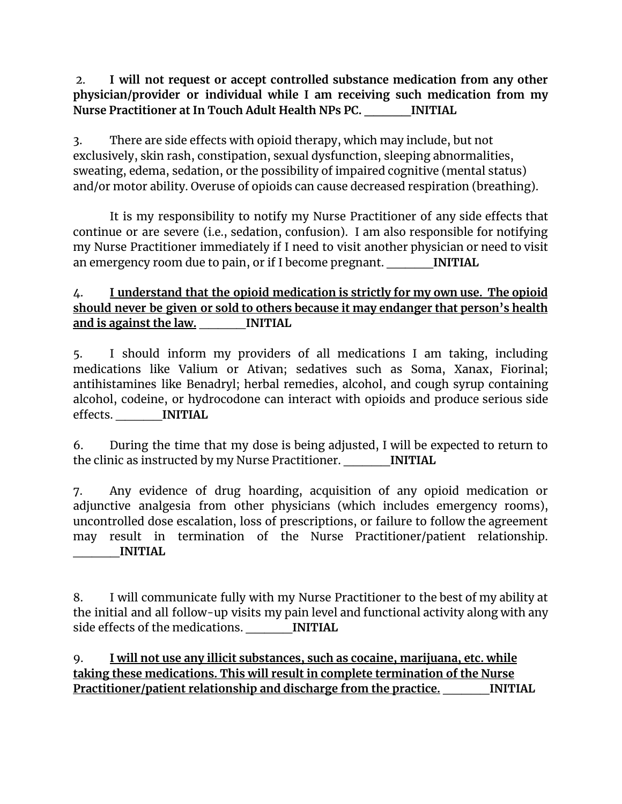2. **I will not request or accept controlled substance medication from any other physician/provider or individual while I am receiving such medication from my Nurse Practitioner at In Touch Adult Health NPs PC. \_\_\_\_\_INITIAL**

3. There are side effects with opioid therapy, which may include, but not exclusively, skin rash, constipation, sexual dysfunction, sleeping abnormalities, sweating, edema, sedation, or the possibility of impaired cognitive (mental status) and/or motor ability. Overuse of opioids can cause decreased respiration (breathing).

It is my responsibility to notify my Nurse Practitioner of any side effects that continue or are severe (i.e., sedation, confusion). I am also responsible for notifying my Nurse Practitioner immediately if I need to visit another physician or need to visit an emergency room due to pain, or if I become pregnant. \_\_\_\_\_**INITIAL**

## 4. **I understand that the opioid medication is strictly for my own use. The opioid should never be given or sold to others because it may endanger that person's health and is against the law.** \_\_\_\_\_**INITIAL**

5. I should inform my providers of all medications I am taking, including medications like Valium or Ativan; sedatives such as Soma, Xanax, Fiorinal; antihistamines like Benadryl; herbal remedies, alcohol, and cough syrup containing alcohol, codeine, or hydrocodone can interact with opioids and produce serious side effects. **INITIAL** 

6. During the time that my dose is being adjusted, I will be expected to return to the clinic as instructed by my Nurse Practitioner. \_\_\_\_\_**INITIAL**

7. Any evidence of drug hoarding, acquisition of any opioid medication or adjunctive analgesia from other physicians (which includes emergency rooms), uncontrolled dose escalation, loss of prescriptions, or failure to follow the agreement may result in termination of the Nurse Practitioner/patient relationship. \_\_\_\_\_**INITIAL**

8. I will communicate fully with my Nurse Practitioner to the best of my ability at the initial and all follow-up visits my pain level and functional activity along with any side effects of the medications. **INITIAL** 

9. **I will not use any illicit substances, such as cocaine, marijuana, etc. while taking these medications. This will result in complete termination of the Nurse Practitioner/patient relationship and discharge from the practice.** \_\_\_\_\_**INITIAL**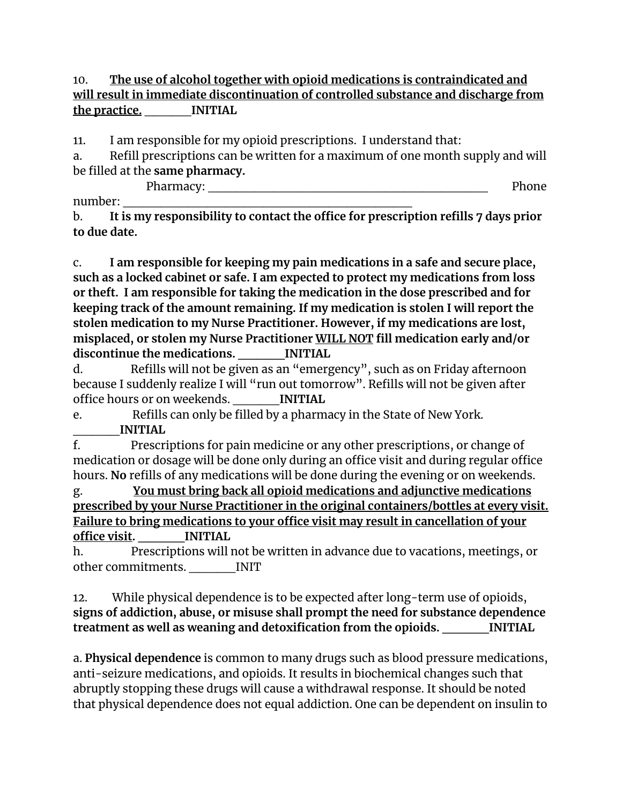10. **The use of alcohol together with opioid medications is contraindicated and will result in immediate discontinuation of controlled substance and discharge from the practice.** \_\_\_\_\_**INITIAL**

11. I am responsible for my opioid prescriptions. I understand that:

a. Refill prescriptions can be written for a maximum of one month supply and will be filled at the **same pharmacy.**

Pharmacy: **Example 2018** Phone Phone Phone Phone Phone Phone Phone Phone Phone Phone Phone Phone Phone Phone Phone Phone Phone Phone Phone Phone Phone Phone Phone Phone Phone Phone Phone Phone Phone Phone Phone Phone Phone

number:

b. **It is my responsibility to contact the oce for prescription refills 7 days prior to due date.**

c. **I am responsible for keeping my pain medications in a safe and secure place, such as a locked cabinet or safe. I am expected to protect my medications from loss or theft. I am responsible for taking the medication in the dose prescribed and for keeping track of the amount remaining. If my medication is stolen I will report the stolen medication to my Nurse Practitioner. However, if my medications are lost, misplaced, or stolen my Nurse Practitioner WILL NOT fill medication early and/or discontinue the medications. \_\_\_\_\_INITIAL**

d. Refills will not be given as an "emergency", such as on Friday afternoon because I suddenly realize I will "run out tomorrow". Refills will not be given after office hours or on weekends. **INITIAL** 

e. Refills can only be filled by a pharmacy in the State of New York. \_\_\_\_\_**INITIAL**

f. Prescriptions for pain medicine or any other prescriptions, or change of medication or dosage will be done only during an office visit and during regular office hours. **No** refills of any medications will be done during the evening or on weekends.

g. **You must bring back all opioid medications and adjunctive medications prescribed by your Nurse Practitioner in the original containers/bottles at every visit. Failure to bring medications to your oce visit may result in cancellation of your oce visit. \_\_\_\_\_INITIAL**

h. Prescriptions will not be written in advance due to vacations, meetings, or other commitments. \_\_\_\_\_INIT

12. While physical dependence is to be expected after long-term use of opioids, **signs of addiction, abuse, or misuse shall prompt the need for substance dependence treatment as well as weaning and detoxification from the opioids. \_\_\_\_\_INITIAL**

a. **Physical dependence** is common to many drugs such as blood pressure medications, anti-seizure medications, and opioids. It results in biochemical changes such that abruptly stopping these drugs will cause a withdrawal response. It should be noted that physical dependence does not equal addiction. One can be dependent on insulin to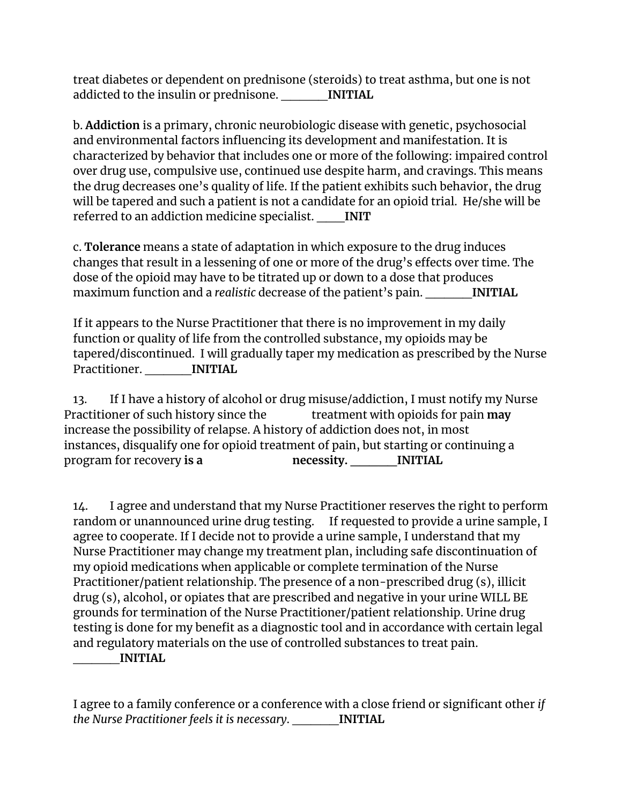treat diabetes or dependent on prednisone (steroids) to treat asthma, but one is not addicted to the insulin or prednisone. \_\_\_\_\_**INITIAL**

b. **Addiction** is a primary, chronic neurobiologic disease with genetic, psychosocial and environmental factors influencing its development and manifestation. It is characterized by behavior that includes one or more of the following: impaired control over drug use, compulsive use, continued use despite harm, and cravings. This means the drug decreases one's quality of life. If the patient exhibits such behavior, the drug will be tapered and such a patient is not a candidate for an opioid trial. He/she will be referred to an addiction medicine specialist. \_\_\_**INIT**

c. **Tolerance** means a state of adaptation in which exposure to the drug induces changes that result in a lessening of one or more of the drug's effects over time. The dose of the opioid may have to be titrated up or down to a dose that produces maximum function and a *realistic* decrease of the patient's pain. \_\_\_\_\_**INITIAL**

If it appears to the Nurse Practitioner that there is no improvement in my daily function or quality of life from the controlled substance, my opioids may be tapered/discontinued. I will gradually taper my medication as prescribed by the Nurse Practitioner. \_\_\_\_\_**INITIAL**

13. If I have a history of alcohol or drug misuse/addiction, I must notify my Nurse Practitioner of such history since the treatment with opioids for pain may increase the possibility of relapse. A history of addiction does not, in most instances, disqualify one for opioid treatment of pain, but starting or continuing a program for recovery **is a necessity. \_\_\_\_\_INITIAL**

14. I agree and understand that my Nurse Practitioner reserves the right to perform random or unannounced urine drug testing. If requested to provide a urine sample, I agree to cooperate. If I decide not to provide a urine sample, I understand that my Nurse Practitioner may change my treatment plan, including safe discontinuation of my opioid medications when applicable or complete termination of the Nurse Practitioner/patient relationship. The presence of a non-prescribed drug (s), illicit drug (s), alcohol, or opiates that are prescribed and negative in your urine WILL BE grounds for termination of the Nurse Practitioner/patient relationship. Urine drug testing is done for my benefit as a diagnostic tool and in accordance with certain legal and regulatory materials on the use of controlled substances to treat pain. \_\_\_\_\_**INITIAL**

I agree to a family conference or a conference with a close friend or significant other *if the Nurse Practitioner feels it is necessary*. \_\_\_\_\_**INITIAL**